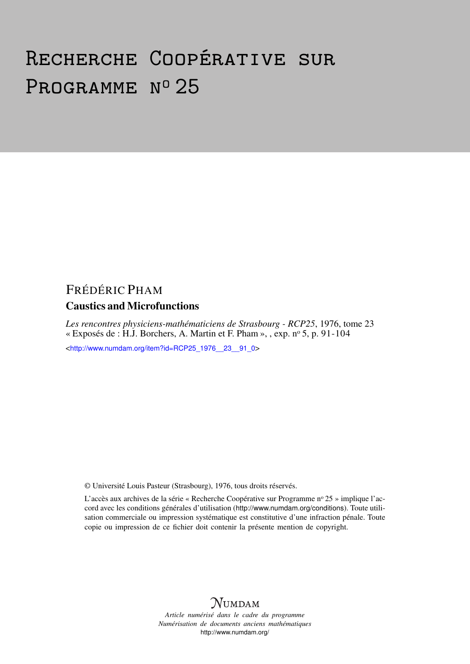# Recherche Coopérative sur PROGRAMME Nº 25

## FRÉDÉRIC PHAM

### Caustics and Microfunctions

*Les rencontres physiciens-mathématiciens de Strasbourg - RCP25*, 1976, tome 23 « Exposés de : H.J. Borchers, A. Martin et F. Pham », , exp.  $n^{\circ}$  5, p. 91-104

<[http://www.numdam.org/item?id=RCP25\\_1976\\_\\_23\\_\\_91\\_0](http://www.numdam.org/item?id=RCP25_1976__23__91_0)>

© Université Louis Pasteur (Strasbourg), 1976, tous droits réservés.

L'accès aux archives de la série « Recherche Coopérative sur Programme nº 25 » implique l'accord avec les conditions générales d'utilisation (<http://www.numdam.org/conditions>). Toute utilisation commerciale ou impression systématique est constitutive d'une infraction pénale. Toute copie ou impression de ce fichier doit contenir la présente mention de copyright.



*Article numérisé dans le cadre du programme Numérisation de documents anciens mathématiques* <http://www.numdam.org/>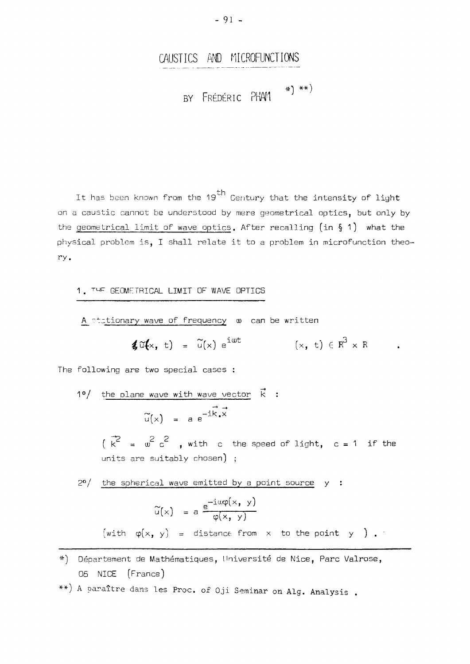## **CAUSTIC S AN D MICROFUNCTION S**

 $\ast) \ \ast\ast)$ **<sup>B</sup> <sup>Y</sup> FRÉDÉRI <sup>C</sup>** ΡΗΑί

It has been known from the 19 $^{\text{th}}$  Century that the intensity of light on a caustic cannot be understood by mere geometrical optics, but only by the geometrical limit of wave optics. After recalling (in § 1) what the physical problem is, I shall relate it to a problem in microfunction theory.

1. ™ <sup>r</sup> GEOMETRICAL LIMIT OF WAVE OPTICS

A stationary wave of frequency w can be written

$$
\textbf{\textit{i}}\,\widetilde{\mathbf{u}}(\mathsf{x},\,\,\mathsf{t}) = \widetilde{\mathsf{u}}(\mathsf{x})\,\,\mathrm{e}^{\mathrm{i}\,\mathsf{u}\mathsf{t}}\qquad\qquad (\mathsf{x},\,\,\mathsf{t})\,\in\,\mathbb{R}^3\times\,\mathbb{R}
$$

The following are two special cases :

10/ the plane wave with wave vector 
$$
\vec{k}
$$
:  
\n $\tilde{u}(x) = a e^{-i\vec{k} \cdot \vec{x}}$   
\n $(\vec{k}^2 = \omega^2 c^2$ , with c the speed of light, c = 1 if the units are suitably chosen);  
\n20/ the spherical wave emitted by a point source y :  
\n $\tilde{u}(x) = a \frac{e^{-i\omega\phi(x, y)}}{\phi(x, y)}$ 

(with **φ(Χ|** yj = distance from to the point y ) .

- Département de Mathématiques, Université de Nice, Parc Valrose, 06 NICE (France)
- \*\*) A paraître dans les Proc. of Oji Seminar on Alg. Analysis.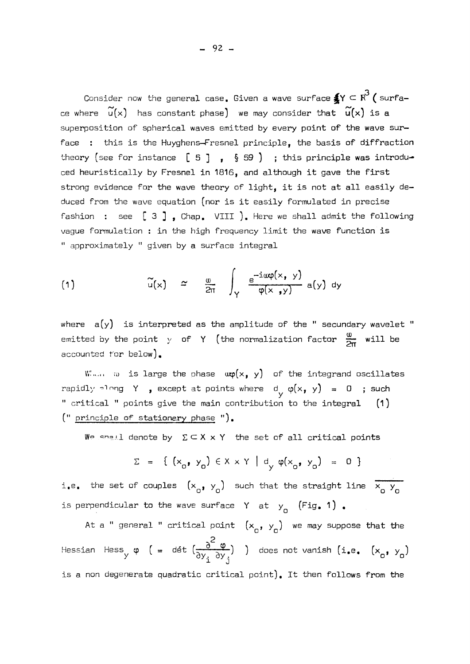Consider now the general case. Given a wave surface $\AA$ Y  $\subset$   $\mathop{\mathrm{R}^3}$  ( surface where  $\widetilde{u}(x)$  has constant phase) we may consider that  $\widetilde{u}(x)$  is a superposition of spherical waves emitted by every point of the wave surface : this is the Huyghens-Fresnel principle, the basis of diffraction theory (see for instance  $[5]$  ,  $\S 59$  ) ; this principle was introduced heuristically by Fresnel in 1816, and although it gave the first strong evidence for the wave theory of light, it is not at all easily deduced from the wave equation (nor is it easily formulated in precise fashion : see  $\begin{bmatrix} 3 \end{bmatrix}$ , Chap. VIII ). Here we shall admit the following vague formulation : in the high frequency limit the wave function is <sup>11</sup> approximately 11 given by a surface integral

(1) 
$$
\widetilde{u}(x) \simeq \frac{\omega}{2\pi} \int_{Y} \frac{e^{-i\alpha\varphi(x, y)}}{\varphi(x, y)} a(y) dy
$$

where a(y) is interpreted as the amplitude of the " secundary wavelet  $\,$ emitted by the point  $y$  of Y (the normalization factor  $\frac{\omega}{2\pi}$  will be accounted for below).

When **a** is large the phase  $\exp(x, y)$  of the integrand oscillates rapidly  $\lceil \cdot \rceil$  ng Y , except at points where  $d_{\gamma} \varphi(x, y) = 0$  ; such " critical " points give the main contribution to the integral  $(1)$ (" principle of stationary phase ") .

We shall denote by  $\;\Sigma \subset X \times Y\;$  the set of all critical points

$$
\Sigma = \{ (x_0, y_0) \in X \times Y \mid d_y \varphi(x_0, y_0) = 0 \}
$$

i.e. the set of couples  $(x_{0}^{1}, y_{0}^{0})$  such that the straight line  $\overline{x_{0}^{0}y_{0}^{0}}$ is perpendicular to the wave surface Y at  $y_0$  (Fig. 1).

At a " general " critical point  $(x_{0}, y_{0})$  we may suppose that the Hessian Hess φ (= dét y Ύ  $\mathcal{L}$ does not vanish (i.e. (x<sub>a</sub>, y<sub>a</sub>) is a non degenerate quadratic critical point). It then follows from the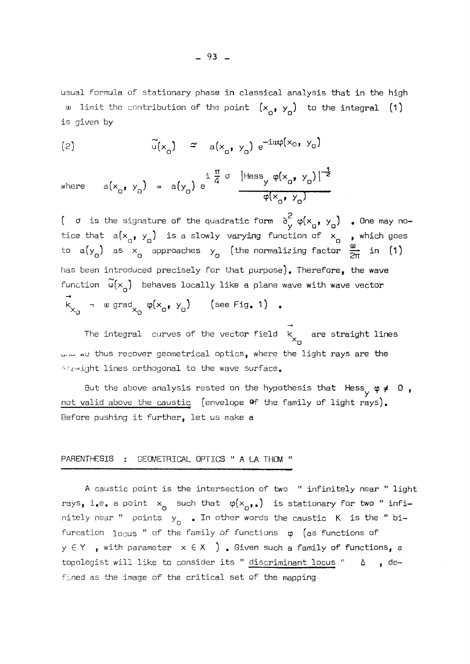usual formula of stationary phase in classical analysis that in the high w limit the contribution of the point  $(x_{0}, y_{0})$  to the integral (1) is given by

$$
\tilde{u}(x_0) \simeq a(x_0, y_0) e^{-i\alpha\varphi(x_0, y_0)}
$$

where 
$$
a(x_0, y_0) = a(y_0) e^{\frac{i}{4} \frac{\pi}{4} \sigma} \frac{|\text{Hess}_y \varphi(x_0, y_0)|^{-\frac{1}{2}}}{\varphi(x_0, y_0)}
$$

(  $\sigma$  is the signature of the quadratic form  $\sigma_{\mathcal{N}}$   $\varphi(\mathsf{x}_{\mathsf{q}}, \; \mathsf{y}_{\mathsf{q}})$  . Une may no tice that  $a(x_{a}, y_{a})$  is a slowly varying function of  $x_{a}$  , which goes to a(y ) as  $\times$  approaches y (the normalizing factor  $\frac{1}{\sqrt{2}}$  in (1 has been introduced precisely for that purpose). Therefore, the wave function  $\mathsf{u}(\mathsf{x}_{_{\mathsf{A}}})$  behaves locally like a plane wave with wave vector k – w grad  $\varphi(x, , y, )$  (see Fig. 1) . **" O <sup>A</sup> <sup>O</sup>** υ

The integral  $\,$  curves of the vector field  $\,$   $\,$   $\,$   $\,$  are straight lines  $\,$  $\infty$ -u thus recover geometrical optics, where the light rays are the straight lines orthogonal to the wave surface.

But the above analysis rested on the hypothesis that Hess^ *φ* 0 , not valid above the caustic (envelope *Of* the family of light rays). Before pushing it further, let us make a

#### PARENTHESIS : GEOMETRICAL OPTICS " A LA THOM "

A caustic point is the intersection of two " infinitely near " light rays, i.e. a point  $x_0$  such that  $\varphi(x_0, \ldots)$  is stationary for two " infinitely near " points y<sub>a</sub> 。In other words the caustic K is the " bi<sub></sub> furcation  $log_{10}$  " of the family of functions  $\varphi$  (as functions of  $y \in Y$  , with parameter  $x \in X$  ). Given such a family of functions, a topologist will like to consider its "  $\underline{\text{discription}}$  locus "  $\quad$  ) defined as the image of the critical set of the mapping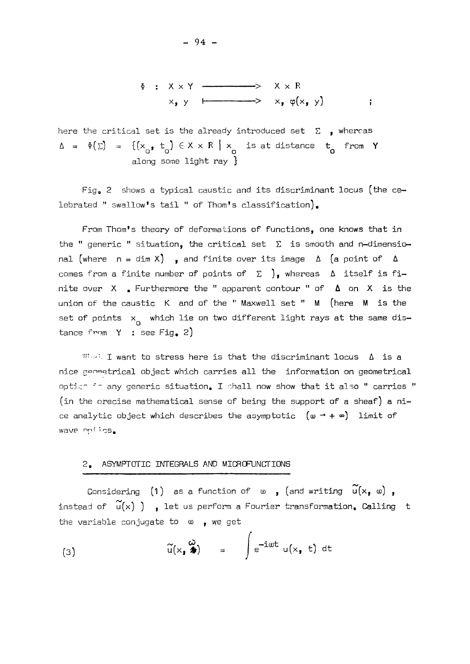$$
\Phi : X \times Y \longrightarrow X \times R
$$
  

$$
\times_{\bullet} y \longmapsto x_{\bullet} \varphi(x_{\bullet} y) \qquad ;
$$

here the critical set is the already introduced set  $\Sigma$  , whereas  $\Delta = \Phi(\Sigma) = \{ (x_{0}, t_{0}) \in X \times R \mid x_{0} \text{ is at distance } t_{0} \text{ from } Y \}$ along some light ray }

Fig. 2 shows a typical caustic and its discriminant locus (the celebrated " swallow's tail " of Thom's classification).

From Thom's theory of deformations of functions, one knows that in the " generic " situation, the critical set  $\, \Sigma \,$  is smooth and n—dimensic nal (where  $n = \dim X$ ), and finite over its image  $\Delta$  (a point of  $\Delta$ comes from a finite number of points of  $\Sigma$  ), whereas  $\Delta$  itself is finite over X . Furthermore the <sup>11</sup> apparent contour <sup>11</sup> of on X is the union of the caustic  $\,$  K and of the " Maxwell set **"**  $\,$  M  $\,$  (here  $\,$  M  $\,$  is the set of points  $x_{n}$  which lie on two different light rays at the same distance from  $Y$  : see Fig. 2)

When I want to stress here is that the discriminant locus  $\Delta$  is a nice geometrical object which carries all the information on geometrical optics in any generic situation. I shall now show that it also " carries  $\,$ (in the orecise mathematical sense of being the support of a sheaf) a nice analytic object which describes the asymptotic  $(\omega \rightarrow + \infty)$  limit of wave opijos.

#### 2. ASYMPTOTIC INTEGRALS AND MICROFUNCTIONS

Considering (1) as a function of  $\omega$ , (and writing  $\widetilde{u}(x, \omega)$ , instead of  $\widetilde{u}(x)$  ) , let us perform a Fourier transformation. Calling t the variable conjugate to  $\omega$ , we get

(3) 
$$
\widetilde{u}(x, \lambda) = \int e^{-i\omega t} u(x, t) dt
$$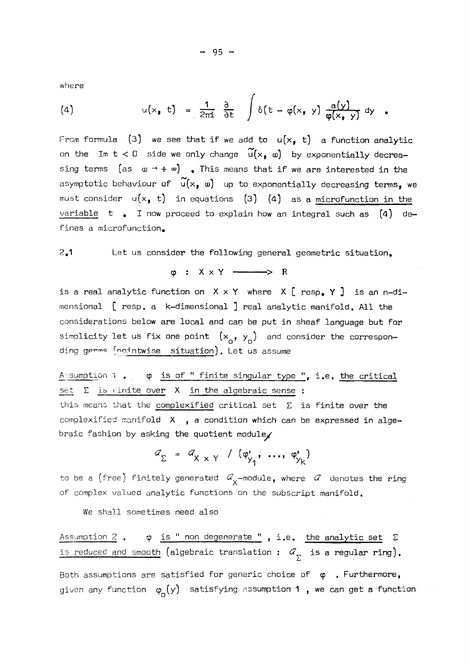where

(4) 
$$
u(x, t) = \frac{1}{2\pi i} \frac{\partial}{\partial t} \int \delta(t - \varphi(x, y)) \frac{a(y)}{\varphi(x, y)} dy
$$

From formula (3) we see that if we add to  $u(x, t)$  a function analytic on the Im  $t < 0$  side we only change  $\widetilde{u}(x, \omega)$  by exponentially decreasing terms  $(as \t u \rightarrow + \t o)$  . This means that if we are interested in the asymptotic behaviour of  $\widetilde{u}(x, \omega)$  up to exponentially decreasing terms, we must consider  $u(x, t)$  in equations (3) (4) as a microfunction in the variable t . I now proceed to explain how an integral such as  $(4)$  defines a microfunction.

#### 2.1 Let us consider the following general geometric situation.

 $\varphi$  :  $X \times Y$  -  $\longrightarrow$  R

is a real analytic function on  $X \times Y$  where  $X$  [ resp. Y ] is an n-dimensional [ resp. a k-dimensional ] real analytic manifold. All the considerations below are local and can be put in sheaf language but for simplicity let us fix one point  $(x_{n}^{+}, y_{n}^{-})$  and consider the corresponding germs (pointwise situation). Let us assume

Assumption 1. φ is of " finite singular type ", i.e. the critical set  $\Sigma$  is finite over  $X$  in the algebraic sense : this means that the complexified critical set  $\Sigma$  is finite over the complexified manifold  $X$ , a condition which can be expressed in algebraic fashion by asking the quotient module/

$$
a_{\Sigma} = a_{X \times Y} / ( \varphi_{y_1}^{\mathbf{r}}, \ldots, \varphi_{y_k}^{\mathbf{r}} )
$$

to be a (free) finitely generated  $\mathcal{A}_{\mathbf{y}}$ -module, where  $\mathcal{A}_{\mathbf{z}}$  denotes the ring of complex valued analytic functions on the subscript manifold.

We shall sometimes need also

Assumption 2 .  $\varphi$  is " non degenerate ", i.e. the analytic set  $\Sigma$ is reduced and smooth (algebraic translation :  $d_{\overline{y}}$  is a regular ring). Both assumptions are satisfied for generic choice of  $\varphi$  . Furthermore, given any function  $\varphi_{n}(y)$  satisfying assumption 1, we can get a function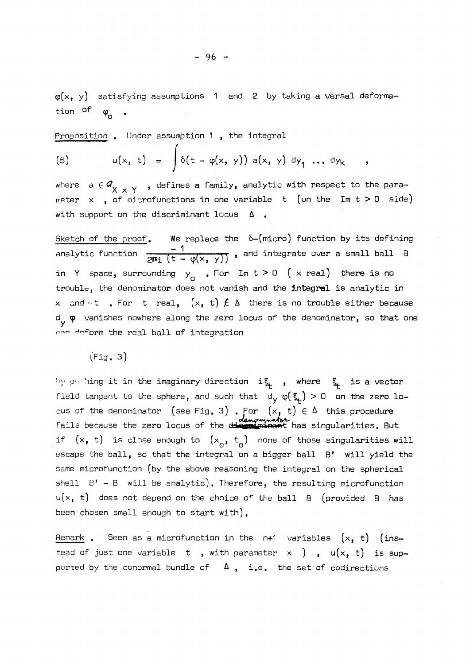$\varphi(x, y)$  satisfying assumptions 1 and 2 by taking a versal deformation of  $\varphi_{0}$ 

Proposition . Under assumption 1 , the integral

Proposition . Under assumption 1, the integral  
\n(5) 
$$
u(x, t) = \int \delta(t - \varphi(x, y)) a(x, y) dy_1 \dots dy_k
$$

where  $a \in \mathcal{Q}_{\chi}$  , defines a family, analytic with respect to the parameter  $x$ , of microfunctions in one variable t (on the Im  $t > 0$  side) with support on the discriminant locus  $\Delta$ .

Sketch of the proof. We replace the δ-(micro) function by its defining analytic function  $\frac{-1}{2M_1 \left(t - \varphi(x, y)\right)}$  , and integrate over a small ball <code>B</code> in Y space, surrounding  $y_{\Omega}$  . For Im t > 0 ( x real) there is no trouble, the denominator does not vanish and the **integral** is analytic in x and  $-t$  . For t real,  $(x, t) \nleq \Delta$  there is no trouble either because dy vanishes nowhere along the zero locus of the denominator, so that one ran deform the real ball of integration

 $(Fia, 3)$ 

phihing it in the imaginary direction  $\quad$  is  $_{\rm L}$  , where  $\,$  s  $_{\rm L}$  is a vector field tangent to the sphere, and such that  $d_y \varphi(\xi_t) > 0$  on the zero locus of the denominator (see Fig. 3) . For  $(x, t) \in \Delta$  this procedure fails because the zero locus of the d<del>ie minant</del> has singularities. But if  $(x, t)$  is close enough to  $(x_0, t_0)$  none of those singularities will escape the ball, so that the integral on a bigger ball  $B'$  will yield the same microfunction (by the above reasoning the integral on the spherical shell  $B' - B$  will be analytic). Therefore, the resulting microfunction  $u(x, t)$  does not depend on the choice of the ball  $B$  (provided  $B$  has been chosen small enough to start with).

Remark . Seen as a microfunction in the  $n+1$  variables  $(x, t)$  (instead of just one variable t , with parameter  $x$  ) ,  $u(x, t)$  is supported by the conormal bundle of  $\Delta$ , i.e. the set of codirections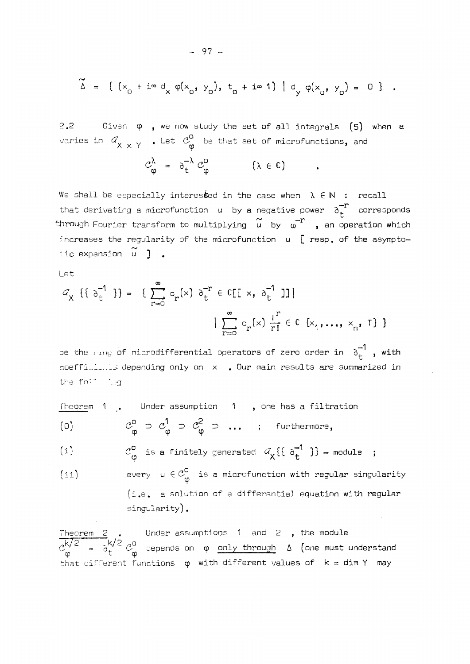$$
\tilde{\Delta} = \{ (x_0 + i \cdot \alpha d_x \varphi(x_0, y_0), t_0 + i \cdot \alpha 1) | d_y \varphi(x_0, y_0) = 0 \} .
$$

2.2 Given  $φ$ , we now study the set of all integrals (5) when a varies in  $\mathscr{A}_{\mathsf{v}}$   $\mathscr{A}_{\mathsf{v}}$  . Let  $\mathscr{C}_{\mathsf{v}}^{\mathsf{v}}$  be that set of microfunctions, and

$$
C_{\phi}^{\lambda} = \partial_{t}^{-\lambda} C_{\phi}^{0} \qquad (\lambda \in C)
$$

We shall be especially interesked in the case when  $\lambda \in \mathbb{N}$  : recall that derivating a microfunction  $u$  by a negative power  $\partial_t^{-r}$  corresponds through Fourier transform to multiplying  $\widetilde{u}$  by  $\omega^{-r}$  , an operation which increases the regularity of the microfunction  $u \in \mathbb{R}$  resp. of the asymptoincrexpansion  $\widetilde{u}$  ] .

Let

$$
C_{\chi} \{ \{ \sigma_{t}^{-1} \} \} = \{ \sum_{r=0}^{\infty} c_{r}(x) \sigma_{t}^{-r} \in \mathbb{C}[\mathbb{I} \times, \sigma_{t}^{-1} \mathbb{I}] \}
$$

$$
| \sum_{r=0}^{\infty} c_{r}(x) \frac{T^{r}}{r!} \in \mathbb{C} \{x_{1}, ..., x_{n}, T \} \}
$$

be the  $r_{\text{avg}}$  of microdifferential operators of zero order in  $\sigma_{\text{t}}^{-1}$  , with be of fide ... be depending only on x . Our main results are summarized in the fn<sup>th</sup> ing

Theorem **1** . Under assumption **1** , one has a filtration

 $\mathcal{C}_{\varphi}^{\circ} \supset \mathcal{C}_{\varphi}^{\prime} \supset \mathcal{C}_{\varphi}^{\circ} \supset \dots$  ; furthermore,  $\overline{(\cup)}$ 

(i)  $C_{\omega}^{\circ}$  is a finitely generated  $\mathcal{A}_{\chi}\{\{\sigma_t^{-1}\}\}\}$  - module ;

(ii) every  $u \in \mathcal{C}_{\alpha}^{\bullet}$  is a microfunction with regular singularity (i.e. a solution of a differential equation with regular singularity) .

Theorem 2  $\,$  Under assumptions 1 and 2  $\,$  the module  $\mathcal{C}_1^{\vee}$  =  $\partial_{\mu}^{\vee}$   $\mathcal{C}_2^{\vee}$  depends on  $\varphi$  only through  $\Delta$  (one must understand that different functions  $\varphi$  with different values of  $k = dim Y$  may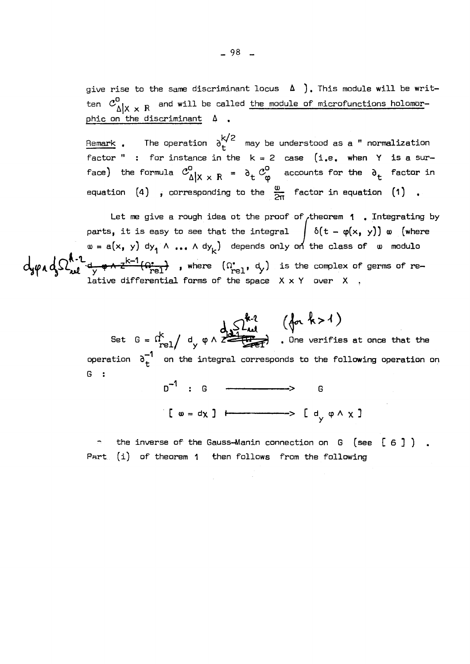**give rise to the same discriminant locus } , This module will be writ-** $\boldsymbol{z}^0$ , and will be called the module of microfunctions holomorphic **Δ| χ R phic on the discriminant Δ ,** 

 $-98$   $-$ 

<u>Remark</u> . The operation  $\delta_t^{k/2}$  may be understood as a " normalization **Remark , The operation may be understood as a " normalization factor " : for instance in the k =** 2 **case (i.e. when Y is a sur**face) the formula  $C_{\Delta | X \times R}^0 = \partial_t C_{\varphi}^0$  accounts for the  $\partial_t$  factor in **H**  $\alpha$  **B**  $\alpha$  **C**  $\alpha$  **C**  $\alpha$  **C**  $\alpha$  **C**  $\alpha$  **C**  $\alpha$  **C**  $\alpha$  **C**  $\alpha$  **C**  $\alpha$  **C**  $\alpha$  **C**  $\alpha$  **C**  $\alpha$  **C**  $\alpha$  **C**  $\alpha$  **C**  $\alpha$  **C**  $\alpha$  **C**  $\alpha$  **C**  $\alpha$  **C**  $\alpha$  **C**  $\alpha$  **C**  $\alpha$  **C**  $\alpha$  **C**  $\alpha$  **C**  $\$ **equation** (4) **, corresponding to the ~ factor in equation (l) ,** 

Let me give a rough idea ot the proof of theorem **1** . Integrating by **parts, it is easy to see that the integral / 6(t - ep(xf y)) (where s a**(x, y) dy,  $\wedge$  ...  $\wedge$  dy<sub>1</sub>) depends only on the class of  $\omega$  modulo **k—1**   $\bullet$  differential forms of the company  $\vee$   $\vee$   $\vee$  germs  $\vee$ 

> $\det$  **G** =  $\iota'_{n=1}$  / **d**<sub>*v*</sub>  $\varphi$   $\wedge$   $\overrightarrow{z}$   $\overrightarrow{z}$  . One verifies at once that the operation  $\sigma_+^{-1}$  on the integral corresponds to the following operation on **operation on the integral corresponds to the following operation on b**  $1$  : G  $\longrightarrow$  G

**the inverse of the Gauss-Manin connection on G (see [ 6 ] ) Part, (i) of theorem 1 then follows from the following** 

 $\left[ \begin{array}{ccc} \omega & = d \chi \end{array} \right]$   $\longleftarrow$   $\longrightarrow$   $\left[ \begin{array}{ccc} d & \varphi \wedge \chi \end{array} \right]$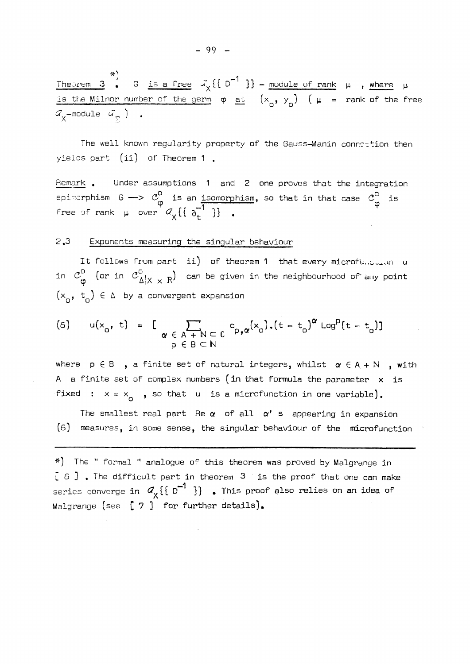Theorem 3  $_{\bullet}$  G is a free  $\prec_{\sf v}\{\!\downarrow\!\downarrow\!\downarrow\!\downarrow\!\downarrow\!\rightarrow$  module of rank  $\mu$  , where  $\mu$ is the Milnor number of the germ  $\varphi$  <u>at</u>  $(x^{\bullet}, y^{\bullet})$  (  $\mu$  = rank of the free  $G_{\chi}$ -module  $G_{\overline{\chi}}$  ) .

The well known regularity property of the Gauss-Manin connection then yields part (ii) of Theorem 1 ,

Remark . Under assumptions 1 and 2 one proves that the integration epimorphism G —>  $\mathcal{C}_{\mathbf{z}}^{\bullet}$  is an <u>isomorphism</u>, so that in that case  $\mathcal{C}_{\mathbf{z}}^{\bullet}$  is **i**  $\frac{1}{2}$  $f(x) = \frac{1}{2}$   $\frac{1}{2}$   $\frac{1}{2}$   $\frac{1}{2}$   $\frac{1}{2}$   $\frac{1}{2}$   $\frac{1}{2}$   $\frac{1}{2}$   $\frac{1}{2}$   $\frac{1}{2}$ 

#### 2 **, 3** Exponents measuring the singular behaviour

It follows from part ii) of theorem 1 that every microfullouring u in  $\mathcal{C}_{\omega}^{\circ}$  (or in  $\mathcal{C}_{\Delta|X|X}^{\circ}$  R) can be given in the neighbourhood of any point  $(x_{0}, t_{0}) \in \Delta$  by a convergent expansion

$$
\text{(6)} \quad u(x_0, t) = \left[ \sum_{\substack{\alpha \in A + N \subset C \\ \beta \in B \subset N}} c_{p, \alpha}(x_0) \cdot (t - t_0)^{\alpha} \log^p(t - t_0) \right]
$$

where  $p \in B$ , a finite set of natural integers, whilst  $\alpha \in A + N$ , with A a finite set of complex numbers (in that formula the parameter  $x$  is fixed :  $x = x_0$ , so that u is a microfunction in one variable).

The smallest real part Re  $\alpha$  of all  $\alpha'$  s appearing in expansion (6) measures, in some sense, the singular behaviour of the microfunction

\*) The " formal " analogue of this theorem was proved by Malgrange in  $[6]$ . The difficult part in theorem  $3$  is the proof that one can make series converge in  $\mathcal{A}_{\chi} \{ \{ \overline{D}^{-1} \} \}$  . This proof also relies on an idea of Malgrange (see [ 7 ] for further details).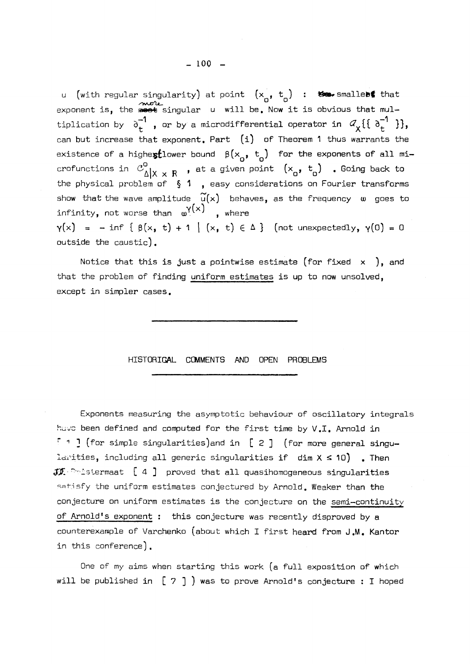u (with regular singularity) at point  $(x_{0}^{0}, t_{0}^{0})$  : the smallet that exponent is, the met singular u will be. Now it is obvious that multiplication by  $\partial_+$  , or by a microdifferential operator in  $\mathscr{A}_{\mathbf{y}}\{\setminus\partial_+$   $\setminus\}$ , can but increase that exponent. Part  $(i)$  of Theorem 1 thus warrants the existence of a highestlower bound  $\beta(x_{q} , t_{q})$  for the exponents of all microfunctions in  $\mathcal{C}^0_{\Delta|X \times R}$  , at a given point  $(x_{\alpha}, t_{\alpha})$  . Going back to the physical problem of  $\S$  1, easy considerations on Fourier transforms show that the wave amplitude  $\widetilde{u}(x)$  behaves, as the frequency  $\omega$  goes to infinity, not worse than  $\omega^{\gamma}(x)$  , where  $\gamma(x) = -\inf \{ \beta(x, t) + 1 \mid (x, t) \in \Delta \}$  (not unexpectedly,  $\gamma(0) = 0$ outside the caustic).

Notice that this is just a pointwise estimate (for fixed  $x$  ), and that the problem of finding uniform estimates is up to now unsolved, except in simpler cases.

#### HISTORIGAL COMMENTS AND OPEN PROBLEMS

Exponents measuring the asymptotic behaviour of oscillatory integrals huvc been defined and computed for the first time by V.I. Arnold in  $\lceil$  1 ] (for simple singularities)and in [ 2 ] (for more general singularities, including all generic singularities if  $dim X \leq 10$ ). Then  $JJ$   $\cdots$  istermaat [ 4 ] proved that all quasihomogeneous singularities satisfy the uniform estimates conjectured by Arnold. Weaker than the conjecture on uniform estimates is the conjecture on the semi-continuity of Arnold's exponent : this conjecture was recently disproved by a counterexample of Varchenko (about which I first heard from J.M. Kantor in this conference) .

One of my aims when starting this work (a full exposition of which will be published in [ 7 ] ) was to prove Arnold's conjecture : I hoped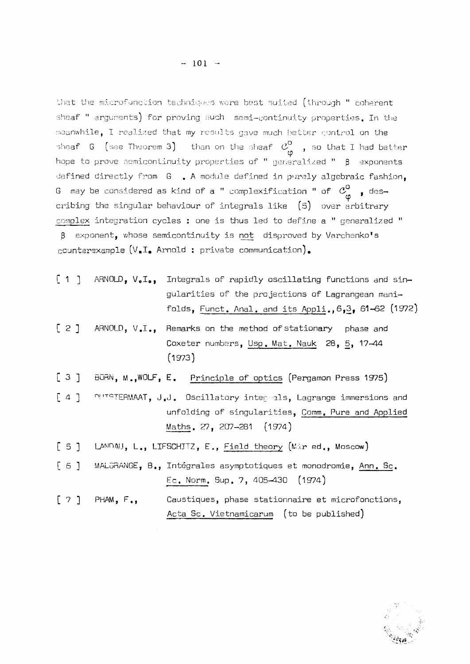that the microfunction techniques were best suited (through <sup>11</sup> coherent sheaf " arguments) for proving such semi-continuity properties. In the meanwhile, I realized that my results gave much better control on the sheaf G (see Theorem 3) than on the sheaf  $\mathcal{C}_{\phi}^0$  , so that I had better hope to prove semicontinuity properties of " generalized "  $\beta$  exponents defined directly from G . A module defined in purely algebraic fashion. G may be considered as kind of a " complexification " of  $\mathcal{C}^0_{\omega}$  , des-G may be considered as kind of a " complexification <sup>11</sup> of **<3°** <sup>f</sup> descomplex integration cycles : one is thus led to define a " generalized "  $\beta$  exponent, whose semicontinuity is not disproved by Varchenko's counterexample  $(V_\bullet I_\bullet$  Arnold : private communication).

- [ 1 ] ARNOLD,  $V_oI_o$ , Integrals of rapidly oscillating functions and singularities of the projections of Lagrangean manifolds, Funct. Anal. and its Appli., 6,3, 61-62 (1972)
- [ 2 ] ARNOLD, V.I., Remarks on the method of stationary phase and Coxeter numbers, Usp. Mat. Nauk 28, 5, 17—44 (1973)
- [ 3 ] BORN, M. , WOLF, E. Principle of optics (Pergamon Press 1975)
- [ 4 ] DUTSTERMAAT, J.J. Oscillatory **integrals ,** Lagrange immersions and unfolding of singularities, Comm. Pure and Applied Maths. 27, 207-281 (1974)
- [ 5 ] LANDAU, L., LIFSCHITZ, E., Field theory (Mir ed., Moscow)
- [ 6 ] MALGRANGE, B., Intégrales asymptotiques et monodromie, Ann. Sc. Ec. Norm. Sup. 7, 405-430 (1974)
- [ 7 ] PHAM, F., Caustiques, phase stationnaire et microfonctions, Acta Sc. Vietnamicarum (to be published)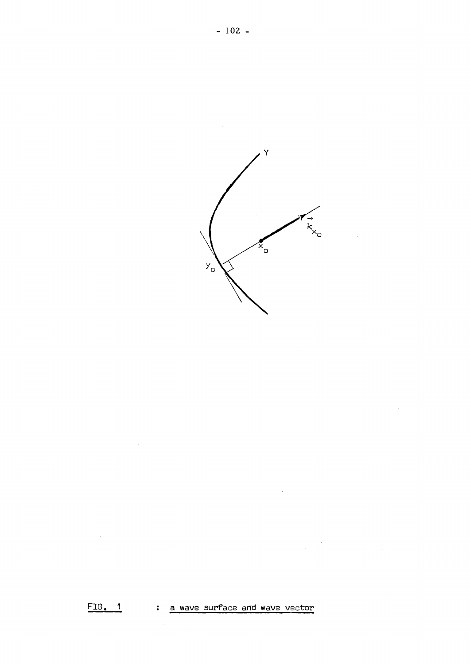

 $\ddot{\phantom{a}}$ 

 $FIG. 1$ : a wave surface and wave vector

 $\mathcal{A}$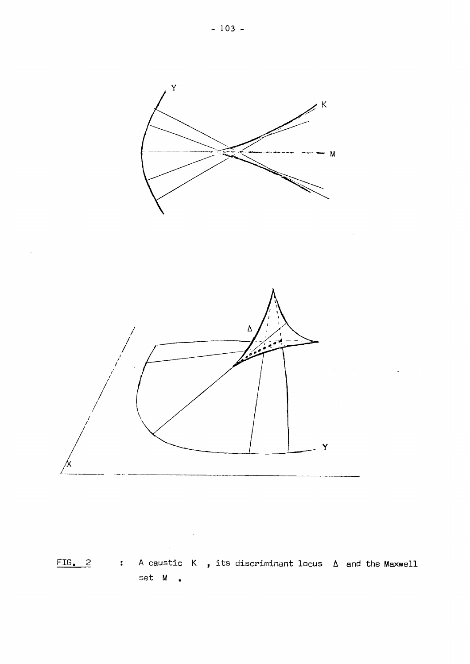

 $\mathcal{L}^{\text{max}}_{\text{max}}$ 

 $\mathcal{A}^{\mathcal{A}}$